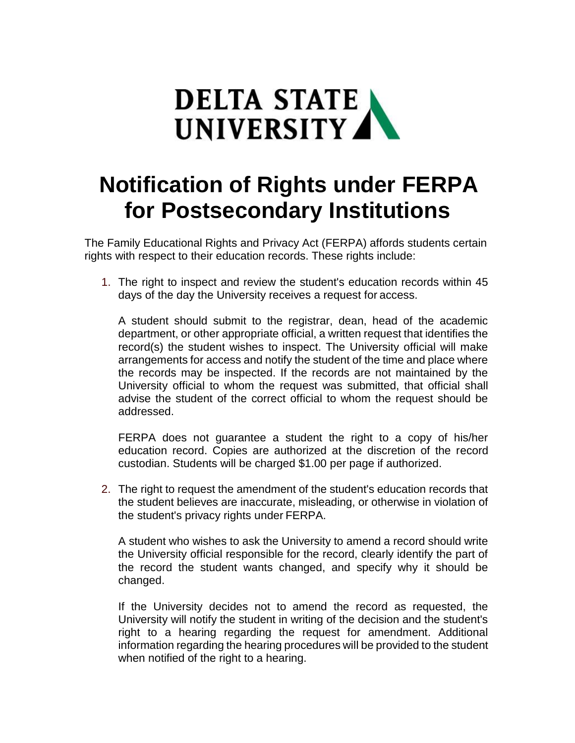

## **Notification of Rights under FERPA for Postsecondary Institutions**

The Family Educational Rights and Privacy Act (FERPA) affords students certain rights with respect to their education records. These rights include:

1. The right to inspect and review the student's education records within 45 days of the day the University receives a request for access.

A student should submit to the registrar, dean, head of the academic department, or other appropriate official, a written request that identifies the record(s) the student wishes to inspect. The University official will make arrangements for access and notify the student of the time and place where the records may be inspected. If the records are not maintained by the University official to whom the request was submitted, that official shall advise the student of the correct official to whom the request should be addressed.

FERPA does not guarantee a student the right to a copy of his/her education record. Copies are authorized at the discretion of the record custodian. Students will be charged \$1.00 per page if authorized.

2. The right to request the amendment of the student's education records that the student believes are inaccurate, misleading, or otherwise in violation of the student's privacy rights under FERPA.

A student who wishes to ask the University to amend a record should write the University official responsible for the record, clearly identify the part of the record the student wants changed, and specify why it should be changed.

If the University decides not to amend the record as requested, the University will notify the student in writing of the decision and the student's right to a hearing regarding the request for amendment. Additional information regarding the hearing procedures will be provided to the student when notified of the right to a hearing.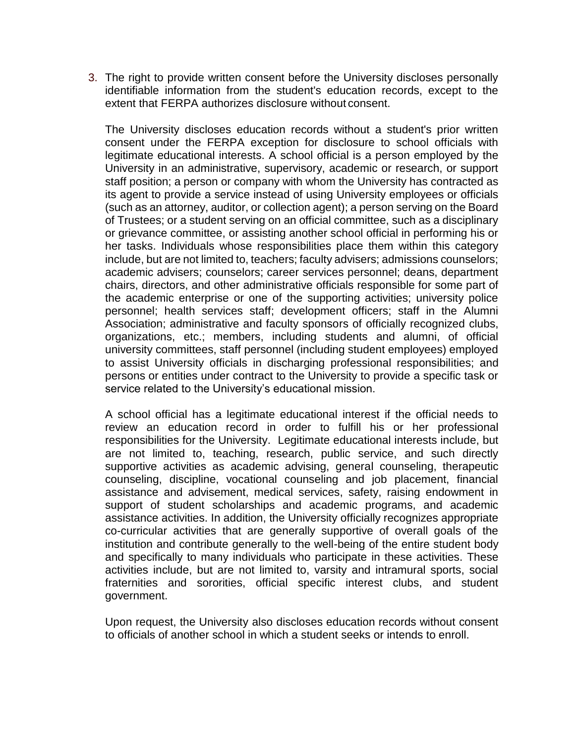3. The right to provide written consent before the University discloses personally identifiable information from the student's education records, except to the extent that FERPA authorizes disclosure without consent.

The University discloses education records without a student's prior written consent under the FERPA exception for disclosure to school officials with legitimate educational interests. A school official is a person employed by the University in an administrative, supervisory, academic or research, or support staff position; a person or company with whom the University has contracted as its agent to provide a service instead of using University employees or officials (such as an attorney, auditor, or collection agent); a person serving on the Board of Trustees; or a student serving on an official committee, such as a disciplinary or grievance committee, or assisting another school official in performing his or her tasks. Individuals whose responsibilities place them within this category include, but are not limited to, teachers; faculty advisers; admissions counselors; academic advisers; counselors; career services personnel; deans, department chairs, directors, and other administrative officials responsible for some part of the academic enterprise or one of the supporting activities; university police personnel; health services staff; development officers; staff in the Alumni Association; administrative and faculty sponsors of officially recognized clubs, organizations, etc.; members, including students and alumni, of official university committees, staff personnel (including student employees) employed to assist University officials in discharging professional responsibilities; and persons or entities under contract to the University to provide a specific task or service related to the University's educational mission.

A school official has a legitimate educational interest if the official needs to review an education record in order to fulfill his or her professional responsibilities for the University. Legitimate educational interests include, but are not limited to, teaching, research, public service, and such directly supportive activities as academic advising, general counseling, therapeutic counseling, discipline, vocational counseling and job placement, financial assistance and advisement, medical services, safety, raising endowment in support of student scholarships and academic programs, and academic assistance activities. In addition, the University officially recognizes appropriate co-curricular activities that are generally supportive of overall goals of the institution and contribute generally to the well-being of the entire student body and specifically to many individuals who participate in these activities. These activities include, but are not limited to, varsity and intramural sports, social fraternities and sororities, official specific interest clubs, and student government.

Upon request, the University also discloses education records without consent to officials of another school in which a student seeks or intends to enroll.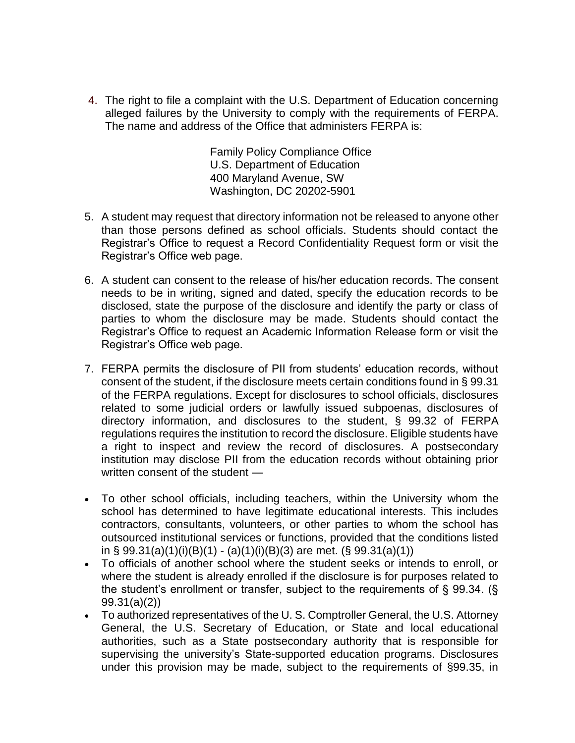4. The right to file a complaint with the U.S. Department of Education concerning alleged failures by the University to comply with the requirements of FERPA. The name and address of the Office that administers FERPA is:

> Family Policy Compliance Office U.S. Department of Education 400 Maryland Avenue, SW Washington, DC 20202-5901

- 5. A student may request that directory information not be released to anyone other than those persons defined as school officials. Students should contact the Registrar's Office to request a Record Confidentiality Request form or visit the Registrar's Office web page.
- 6. A student can consent to the release of his/her education records. The consent needs to be in writing, signed and dated, specify the education records to be disclosed, state the purpose of the disclosure and identify the party or class of parties to whom the disclosure may be made. Students should contact the Registrar's Office to request an Academic Information Release form or visit the Registrar's Office web page.
- 7. FERPA permits the disclosure of PII from students' education records, without consent of the student, if the disclosure meets certain conditions found in § 99.31 of the FERPA regulations. Except for disclosures to school officials, disclosures related to some judicial orders or lawfully issued subpoenas, disclosures of directory information, and disclosures to the student, § 99.32 of FERPA regulations requires the institution to record the disclosure. Eligible students have a right to inspect and review the record of disclosures. A postsecondary institution may disclose PII from the education records without obtaining prior written consent of the student —
- To other school officials, including teachers, within the University whom the school has determined to have legitimate educational interests. This includes contractors, consultants, volunteers, or other parties to whom the school has outsourced institutional services or functions, provided that the conditions listed in § 99.31(a)(1)(i)(B)(1) - (a)(1)(i)(B)(3) are met. (§ 99.31(a)(1))
- To officials of another school where the student seeks or intends to enroll, or where the student is already enrolled if the disclosure is for purposes related to the student's enrollment or transfer, subject to the requirements of § 99.34. (§ 99.31(a)(2))
- To authorized representatives of the U. S. Comptroller General, the U.S. Attorney General, the U.S. Secretary of Education, or State and local educational authorities, such as a State postsecondary authority that is responsible for supervising the university's State-supported education programs. Disclosures under this provision may be made, subject to the requirements of §99.35, in